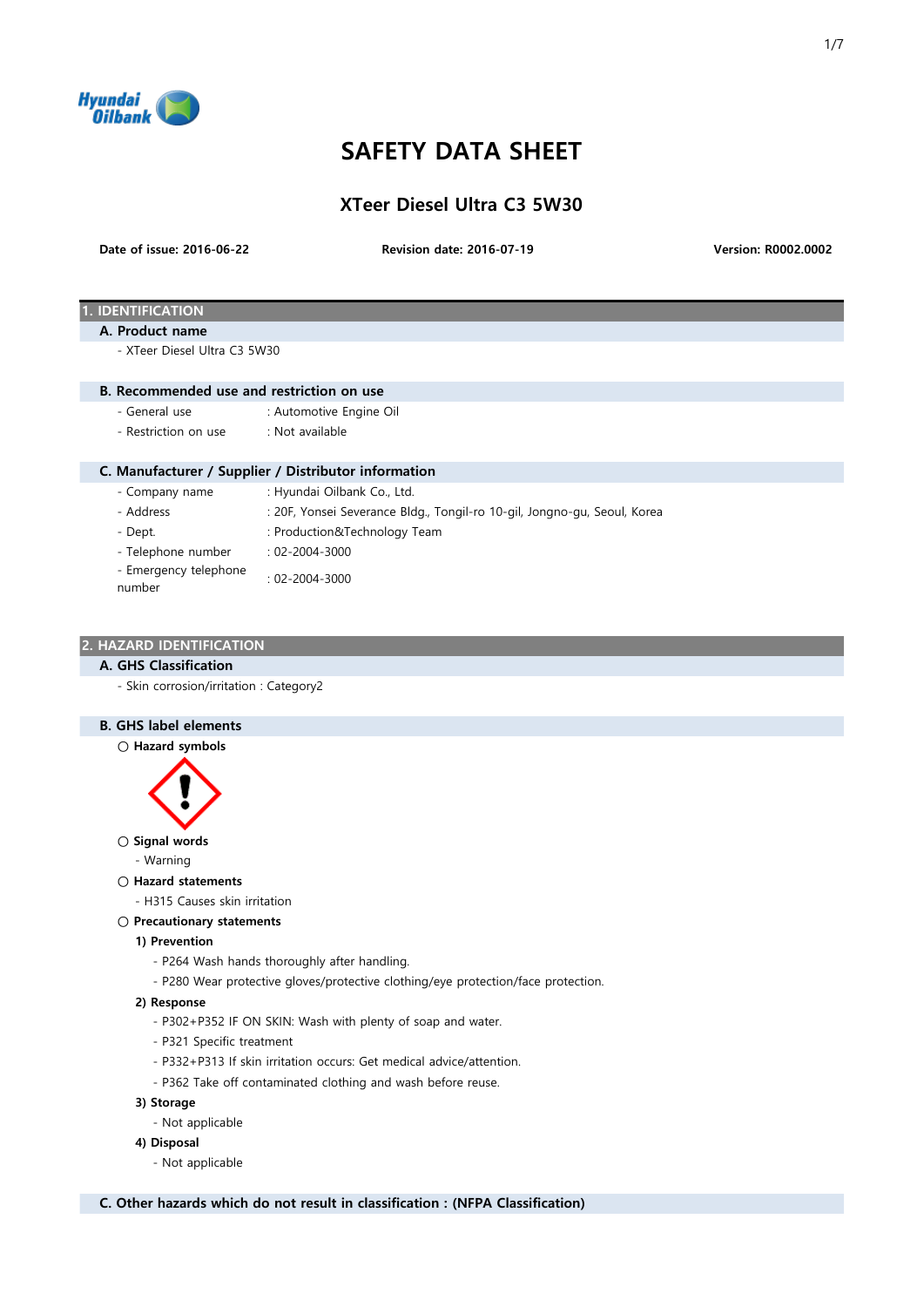

# SAFETY DATA SHEET

XTeer Diesel Ultra C3 5W30

Date of issue: 2016-06-22

Revision date: 2016-07-19 Version: R0002.0002

# **IDENTIFICATION**

#### A. Product name

- XTeer Diesel Ultra C3 5W30

#### B. Recommended use and restriction on use

- General use : Automotive Engine Oil
- Restriction on use : Not available

## C. Manufacturer / Supplier / Distributor information

- 
- Company name : Hyundai Oilbank Co., Ltd.
- 
- Address : 20F, Yonsei Severance Bldg., Tongil-ro 10-gil, Jongno-gu, Seoul, Korea
- 
- Dept.  $\qquad \qquad : \text{Production@Technology Team}$
- Telephone number : 02-2004-3000
- Emergency telephone
- 
- number : 02-2004-3000

## 2. HAZARD IDENTIFICATION

#### A. GHS Classification

- Skin corrosion/irritation : Category2

# B. GHS label elements

○ Hazard symbols



# ○ Signal words

- Warning
- Hazard statements
	- H315 Causes skin irritation
- Precautionary statements

#### 1) Prevention

- P264 Wash hands thoroughly after handling.
- P280 Wear protective gloves/protective clothing/eye protection/face protection.

#### 2) Response

- P302+P352 IF ON SKIN: Wash with plenty of soap and water.
- P321 Specific treatment
- P332+P313 If skin irritation occurs: Get medical advice/attention.
- P362 Take off contaminated clothing and wash before reuse.
- 3) Storage
	- Not applicable

#### 4) Disposal

- Not applicable

C. Other hazards which do not result in classification : (NFPA Classification)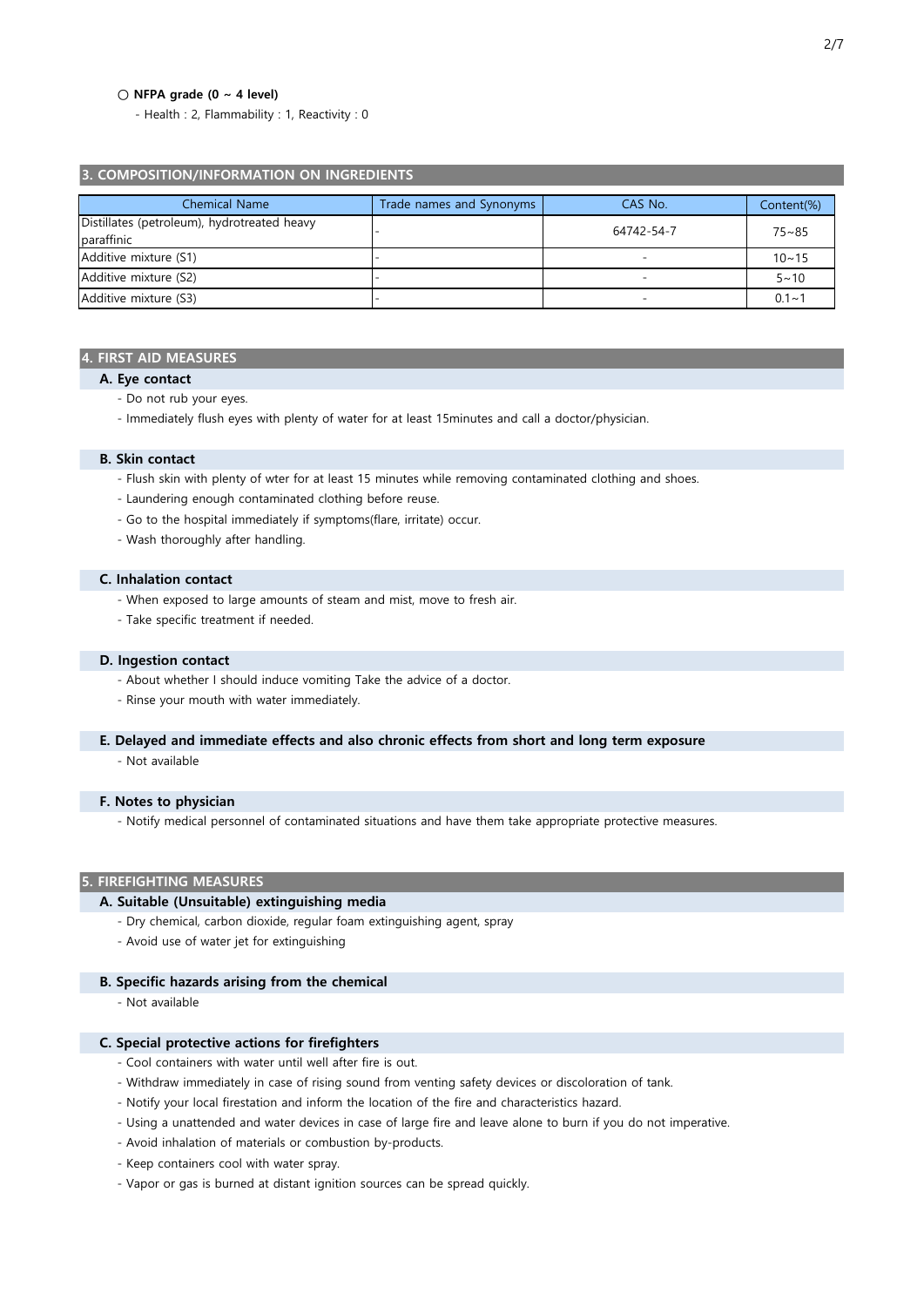#### $\bigcirc$  NFPA grade (0 ~ 4 level)

- Health : 2, Flammability : 1, Reactivity : 0

#### 3. COMPOSITION/INFORMATION ON INGREDIENTS

| <b>Chemical Name</b>                                      | Trade names and Synonyms | CAS No.                  | Content(%) |
|-----------------------------------------------------------|--------------------------|--------------------------|------------|
| Distillates (petroleum), hydrotreated heavy<br>paraffinic |                          | 64742-54-7               | $75 - 85$  |
| Additive mixture (S1)                                     |                          | -                        | $10 - 15$  |
| Additive mixture (S2)                                     |                          | -                        | $5 - 10$   |
| Additive mixture (S3)                                     |                          | $\overline{\phantom{a}}$ | $0.1 - 1$  |

#### 4. FIRST AID MEASURES

- A. Eye contact
	- Do not rub your eyes.
	- Immediately flush eyes with plenty of water for at least 15minutes and call a doctor/physician.

#### B. Skin contact

- Flush skin with plenty of wter for at least 15 minutes while removing contaminated clothing and shoes.
- Laundering enough contaminated clothing before reuse.
- Go to the hospital immediately if symptoms(flare, irritate) occur.
- Wash thoroughly after handling.

#### C. Inhalation contact

- When exposed to large amounts of steam and mist, move to fresh air.
- Take specific treatment if needed.

#### D. Ingestion contact

- About whether I should induce vomiting Take the advice of a doctor.
- Rinse your mouth with water immediately.
- E. Delayed and immediate effects and also chronic effects from short and long term exposure
	- Not available

## F. Notes to physician

- Notify medical personnel of contaminated situations and have them take appropriate protective measures.

#### 5. FIREFIGHTING MEASURES

#### A. Suitable (Unsuitable) extinguishing media

- Dry chemical, carbon dioxide, regular foam extinguishing agent, spray
- Avoid use of water jet for extinguishing

#### B. Specific hazards arising from the chemical

- Not available

# C. Special protective actions for firefighters

- Cool containers with water until well after fire is out.
- Withdraw immediately in case of rising sound from venting safety devices or discoloration of tank.
- Notify your local firestation and inform the location of the fire and characteristics hazard.
- Using a unattended and water devices in case of large fire and leave alone to burn if you do not imperative.
- Avoid inhalation of materials or combustion by-products.
- Keep containers cool with water spray.
- Vapor or gas is burned at distant ignition sources can be spread quickly.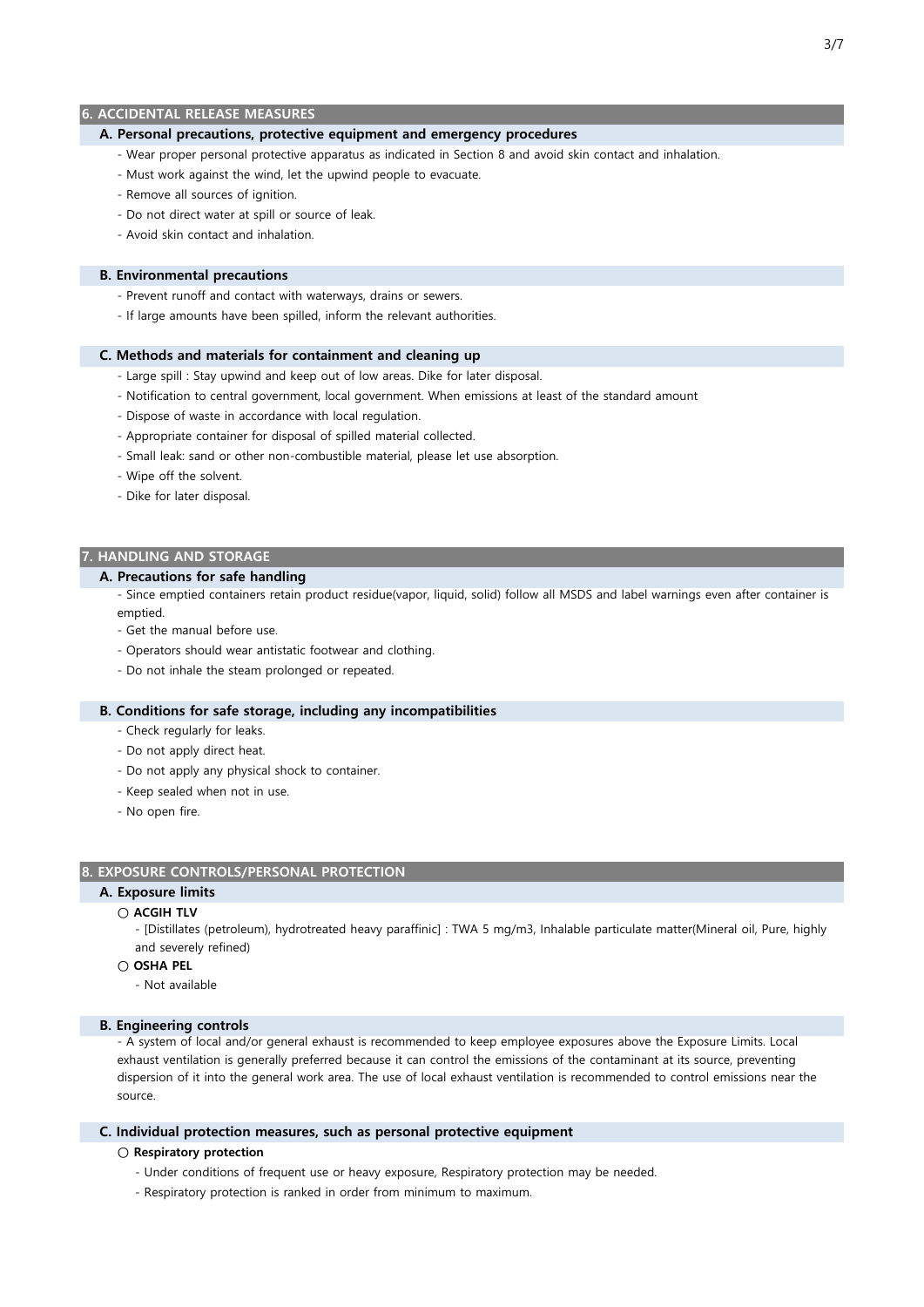## 6. ACCIDENTAL RELEASE MEASURES

#### A. Personal precautions, protective equipment and emergency procedures

- Wear proper personal protective apparatus as indicated in Section 8 and avoid skin contact and inhalation.
- Must work against the wind, let the upwind people to evacuate.
- Remove all sources of ignition.
- Do not direct water at spill or source of leak.
- Avoid skin contact and inhalation.

#### B. Environmental precautions

- Prevent runoff and contact with waterways, drains or sewers.
- If large amounts have been spilled, inform the relevant authorities.

#### C. Methods and materials for containment and cleaning up

- Large spill : Stay upwind and keep out of low areas. Dike for later disposal.
- Notification to central government, local government. When emissions at least of the standard amount
- Dispose of waste in accordance with local regulation.
- Appropriate container for disposal of spilled material collected.
- Small leak: sand or other non-combustible material, please let use absorption.
- Wipe off the solvent.
- Dike for later disposal.

## 7. HANDLING AND STORAGE

# A. Precautions for safe handling

- Since emptied containers retain product residue(vapor, liquid, solid) follow all MSDS and label warnings even after container is emptied.

- Get the manual before use.
- Operators should wear antistatic footwear and clothing.
- Do not inhale the steam prolonged or repeated.

#### B. Conditions for safe storage, including any incompatibilities

- Check regularly for leaks.
- Do not apply direct heat.
- Do not apply any physical shock to container.
- Keep sealed when not in use.
- No open fire.

#### 8. EXPOSURE CONTROLS/PERSONAL PROTECTION

# A. Exposure limits

# ○ ACGIH TLV

- [Distillates (petroleum), hydrotreated heavy paraffinic] : TWA 5 mg/m3, Inhalable particulate matter(Mineral oil, Pure, highly and severely refined)

#### $\cap$  OSHA PEL

- Not available

#### B. Engineering controls

- A system of local and/or general exhaust is recommended to keep employee exposures above the Exposure Limits. Local exhaust ventilation is generally preferred because it can control the emissions of the contaminant at its source, preventing dispersion of it into the general work area. The use of local exhaust ventilation is recommended to control emissions near the source.

#### C. Individual protection measures, such as personal protective equipment

#### ○ Respiratory protection

- Under conditions of frequent use or heavy exposure, Respiratory protection may be needed.
- Respiratory protection is ranked in order from minimum to maximum.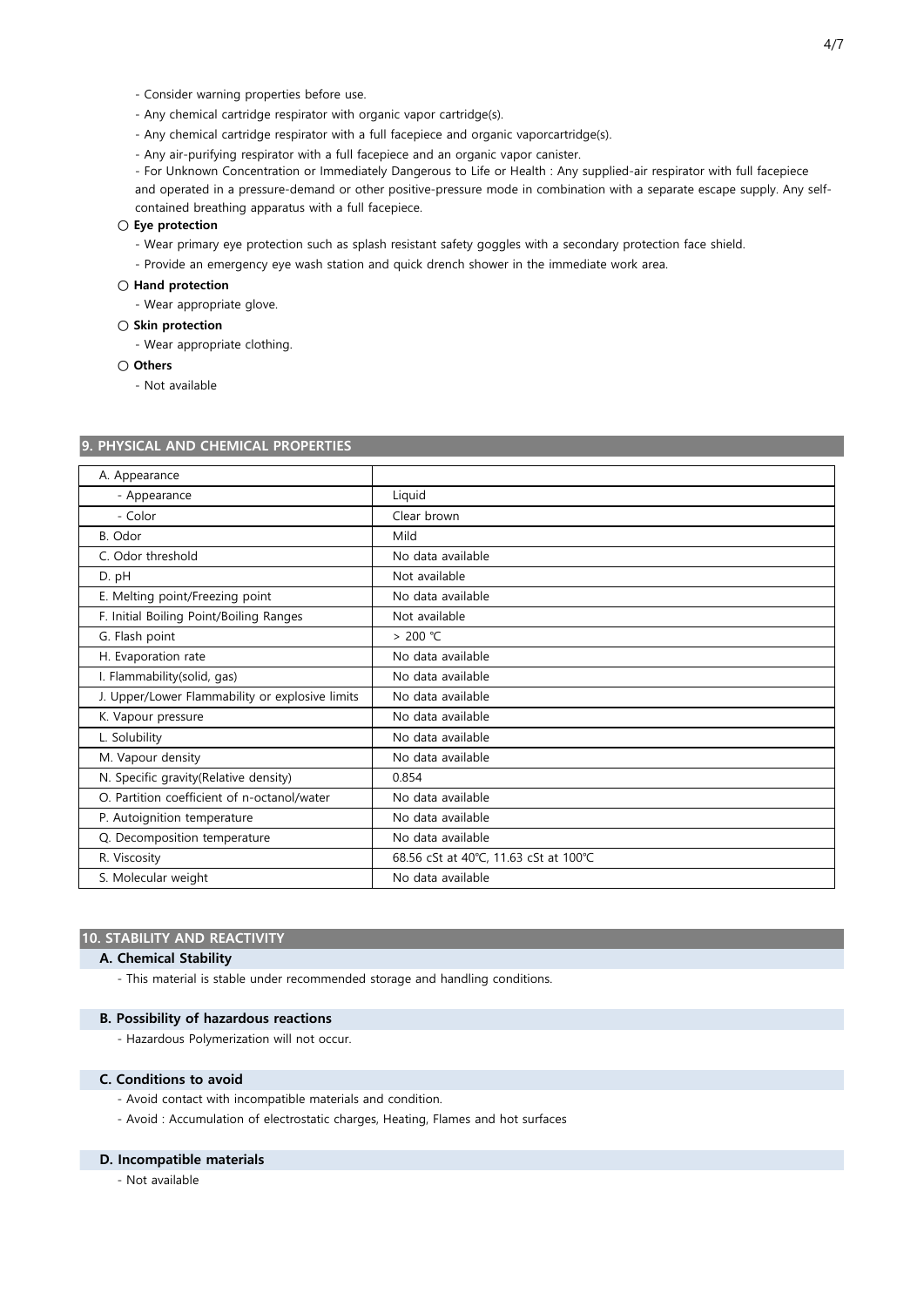- Consider warning properties before use.
- Any chemical cartridge respirator with organic vapor cartridge(s).
- Any chemical cartridge respirator with a full facepiece and organic vaporcartridge(s).
- Any air-purifying respirator with a full facepiece and an organic vapor canister.
- For Unknown Concentration or Immediately Dangerous to Life or Health : Any supplied-air respirator with full facepiece

and operated in a pressure-demand or other positive-pressure mode in combination with a separate escape supply. Any selfcontained breathing apparatus with a full facepiece.

#### ○ Eye protection

- Wear primary eye protection such as splash resistant safety goggles with a secondary protection face shield.
- Provide an emergency eye wash station and quick drench shower in the immediate work area.

#### ○ Hand protection

- Wear appropriate glove.

- Skin protection
	- Wear appropriate clothing.
- Others

- Not available

#### 9. PHYSICAL AND CHEMICAL PROPERTIES

| A. Appearance                                   |                                       |  |
|-------------------------------------------------|---------------------------------------|--|
| - Appearance                                    | Liquid                                |  |
| - Color                                         | Clear brown                           |  |
| B. Odor                                         | Mild                                  |  |
| C. Odor threshold                               | No data available                     |  |
| D. pH                                           | Not available                         |  |
| E. Melting point/Freezing point                 | No data available                     |  |
| F. Initial Boiling Point/Boiling Ranges         | Not available                         |  |
| G. Flash point                                  | > 200 °C                              |  |
| H. Evaporation rate                             | No data available                     |  |
| I. Flammability(solid, gas)                     | No data available                     |  |
| J. Upper/Lower Flammability or explosive limits | No data available                     |  |
| K. Vapour pressure                              | No data available                     |  |
| L. Solubility                                   | No data available                     |  |
| M. Vapour density                               | No data available                     |  |
| N. Specific gravity (Relative density)          | 0.854                                 |  |
| O. Partition coefficient of n-octanol/water     | No data available                     |  |
| P. Autoignition temperature                     | No data available                     |  |
| Q. Decomposition temperature                    | No data available                     |  |
| R. Viscosity                                    | 68.56 cSt at 40°C, 11.63 cSt at 100°C |  |
| S. Molecular weight                             | No data available                     |  |

#### 10. STABILITY AND REACTIVITY

# A. Chemical Stability

- This material is stable under recommended storage and handling conditions.

#### B. Possibility of hazardous reactions

- Hazardous Polymerization will not occur.

#### C. Conditions to avoid

- Avoid contact with incompatible materials and condition.
- Avoid : Accumulation of electrostatic charges, Heating, Flames and hot surfaces

#### D. Incompatible materials

- Not available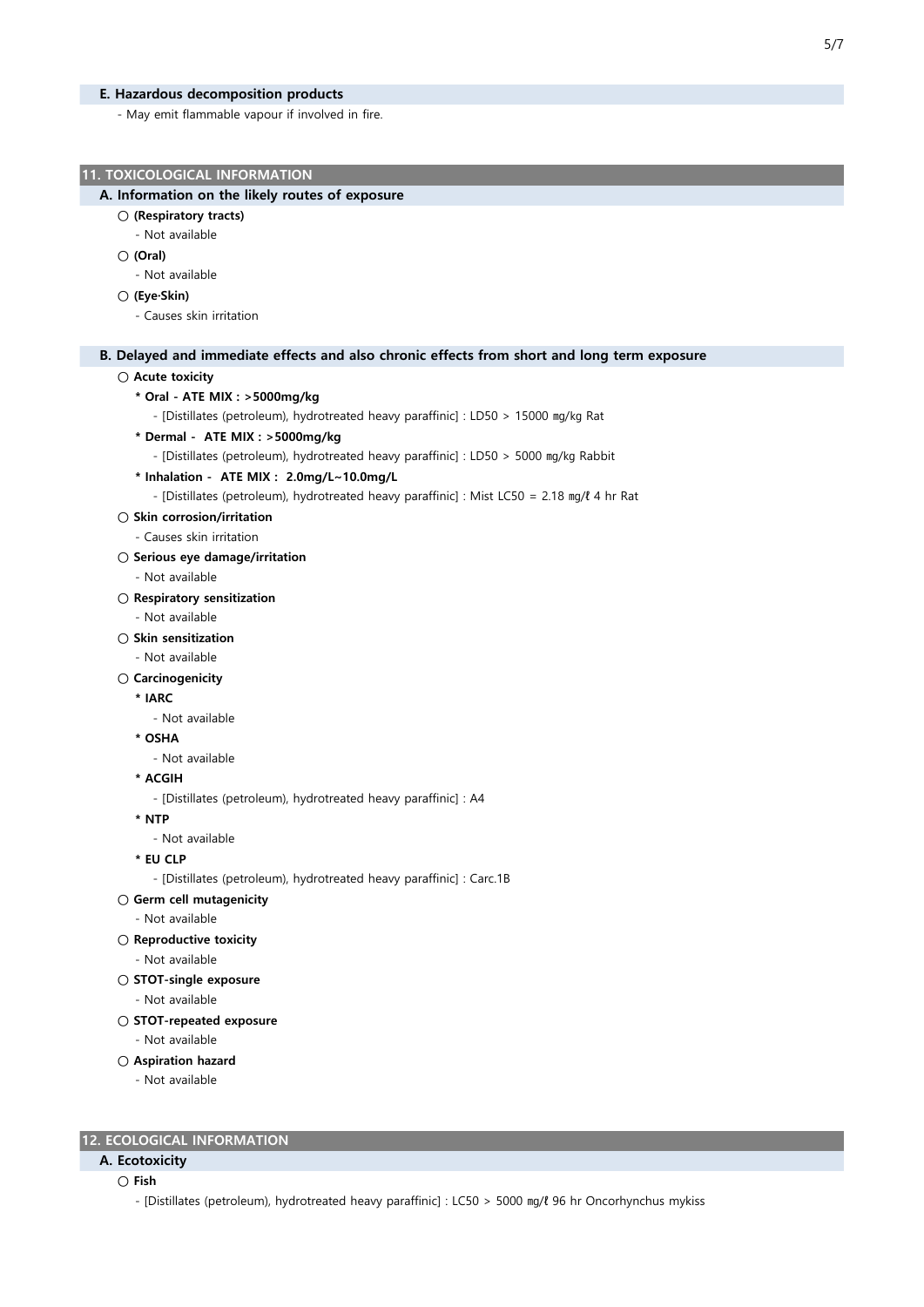#### E. Hazardous decomposition products

- May emit flammable vapour if involved in fire.

```
5/7
```
#### 11. TOXICOLOGICAL INFORMATION

#### A. Information on the likely routes of exposure

- (Respiratory tracts)
	- Not available
- (Oral)
	- Not available
- (Eye·Skin)
	- Causes skin irritation

# B. Delayed and immediate effects and also chronic effects from short and long term exposure

```
○ Acute toxicity
```
- \* Oral ATE MIX : >5000mg/kg
	- [Distillates (petroleum), hydrotreated heavy paraffinic] : LD50 > 15000 ㎎/㎏ Rat
- \* Dermal ATE MIX : >5000mg/kg
	- [Distillates (petroleum), hydrotreated heavy paraffinic] : LD50 > 5000 ㎎/㎏ Rabbit
- \* Inhalation ATE MIX : 2.0mg/L~10.0mg/L

- [Distillates (petroleum), hydrotreated heavy paraffinic] : Mist LC50 = 2.18 ㎎/ℓ 4 hr Rat

- Skin corrosion/irritation
- Causes skin irritation
- Serious eye damage/irritation
	- Not available
- Respiratory sensitization
	- Not available
- Skin sensitization
	- Not available
- Carcinogenicity
	- \* IARC
		- Not available
	- \* OSHA
		- Not available
	- \* ACGIH
		- [Distillates (petroleum), hydrotreated heavy paraffinic] : A4
	- \* NTP
	- Not available
	- \* EU CLP

- [Distillates (petroleum), hydrotreated heavy paraffinic] : Carc.1B

- Germ cell mutagenicity
	- Not available
- Reproductive toxicity
	- Not available
- STOT-single exposure
	- Not available
- STOT-repeated exposure
	- Not available
- Aspiration hazard
	- Not available

# 12. ECOLOGICAL INFORMATION

# A. Ecotoxicity

○ Fish

- [Distillates (petroleum), hydrotreated heavy paraffinic] : LC50 > 5000 ㎎/ℓ 96 hr Oncorhynchus mykiss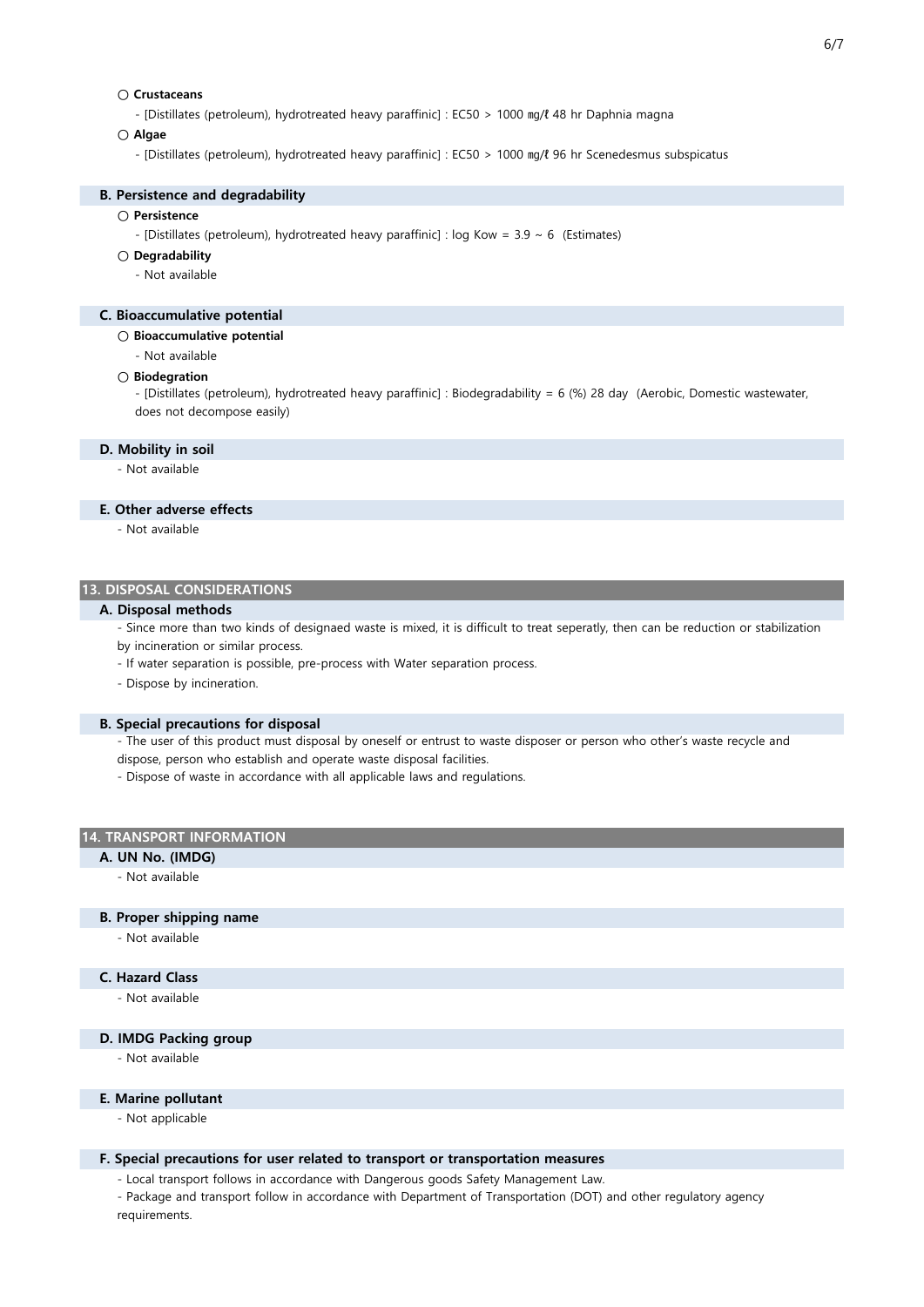# ○ Crustaceans

- [Distillates (petroleum), hydrotreated heavy paraffinic] : EC50 > 1000 ㎎/ℓ 48 hr Daphnia magna

#### ○ Algae

- [Distillates (petroleum), hydrotreated heavy paraffinic] : EC50 > 1000 ㎎/ℓ 96 hr Scenedesmus subspicatus

#### B. Persistence and degradability

# ○ Persistence

- [Distillates (petroleum), hydrotreated heavy paraffinic] : log Kow =  $3.9 \sim 6$  (Estimates)

## ○ Degradability

- Not available

#### C. Bioaccumulative potential

- Bioaccumulative potential
	- Not available

#### ○ Biodegration

- [Distillates (petroleum), hydrotreated heavy paraffinic] : Biodegradability = 6 (%) 28 day (Aerobic, Domestic wastewater, does not decompose easily)

#### D. Mobility in soil

- Not available

#### E. Other adverse effects

- Not available

# 13. DISPOSAL CONSIDERATIONS

#### A. Disposal methods

- Since more than two kinds of designaed waste is mixed, it is difficult to treat seperatly, then can be reduction or stabilization by incineration or similar process.

- If water separation is possible, pre-process with Water separation process.
- Dispose by incineration.

#### B. Special precautions for disposal

- The user of this product must disposal by oneself or entrust to waste disposer or person who other's waste recycle and dispose, person who establish and operate waste disposal facilities.

- Dispose of waste in accordance with all applicable laws and regulations.

#### 14. TRANSPORT INFORMATION

# A. UN No. (IMDG)

- Not available

#### B. Proper shipping name

- Not available

# C. Hazard Class

- Not available

#### D. IMDG Packing group

- Not available

## E. Marine pollutant

- Not applicable

#### F. Special precautions for user related to transport or transportation measures

- Local transport follows in accordance with Dangerous goods Safety Management Law.

- Package and transport follow in accordance with Department of Transportation (DOT) and other regulatory agency requirements.